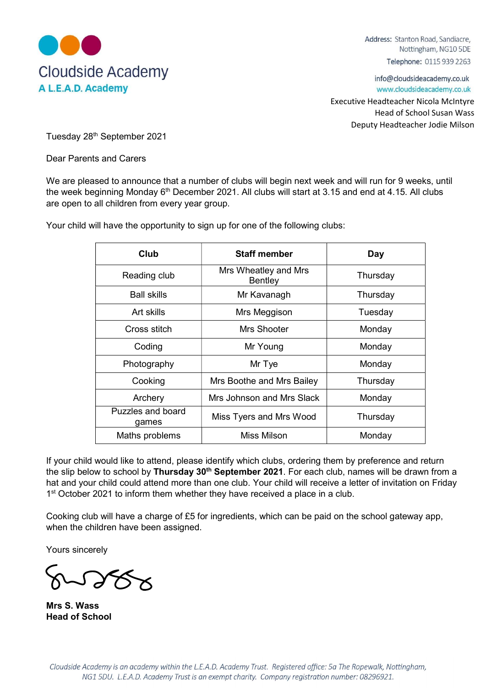

Address: Stanton Road, Sandiacre, Nottingham, NG10 5DE Telephone: 0115 939 2263

info@cloudsideacademy.co.uk www.cloudsideacademy.co.uk

 Executive Headteacher Nicola McIntyre Head of School Susan Wass Deputy Headteacher Jodie Milson

Tuesday 28th September 2021

Dear Parents and Carers

We are pleased to announce that a number of clubs will begin next week and will run for 9 weeks, until the week beginning Monday 6<sup>th</sup> December 2021. All clubs will start at 3.15 and end at 4.15. All clubs are open to all children from every year group.

Your child will have the opportunity to sign up for one of the following clubs:

| Club                       | <b>Staff member</b>             | Day      |
|----------------------------|---------------------------------|----------|
| Reading club               | Mrs Wheatley and Mrs<br>Bentley | Thursday |
| <b>Ball skills</b>         | Mr Kavanagh                     | Thursday |
| Art skills                 | Mrs Meggison                    | Tuesday  |
| Cross stitch               | Mrs Shooter                     | Monday   |
| Coding                     | Mr Young                        | Monday   |
| Photography                | Mr Tye                          | Monday   |
| Cooking                    | Mrs Boothe and Mrs Bailey       | Thursday |
| Archery                    | Mrs Johnson and Mrs Slack       | Monday   |
| Puzzles and board<br>games | Miss Tyers and Mrs Wood         | Thursday |
| Maths problems             | Miss Milson                     | Monday   |

If your child would like to attend, please identify which clubs, ordering them by preference and return the slip below to school by Thursday 30<sup>th</sup> September 2021. For each club, names will be drawn from a hat and your child could attend more than one club. Your child will receive a letter of invitation on Friday 1<sup>st</sup> October 2021 to inform them whether they have received a place in a club.

Cooking club will have a charge of £5 for ingredients, which can be paid on the school gateway app, when the children have been assigned.

Yours sincerely

Mrs S. Wass Head of School